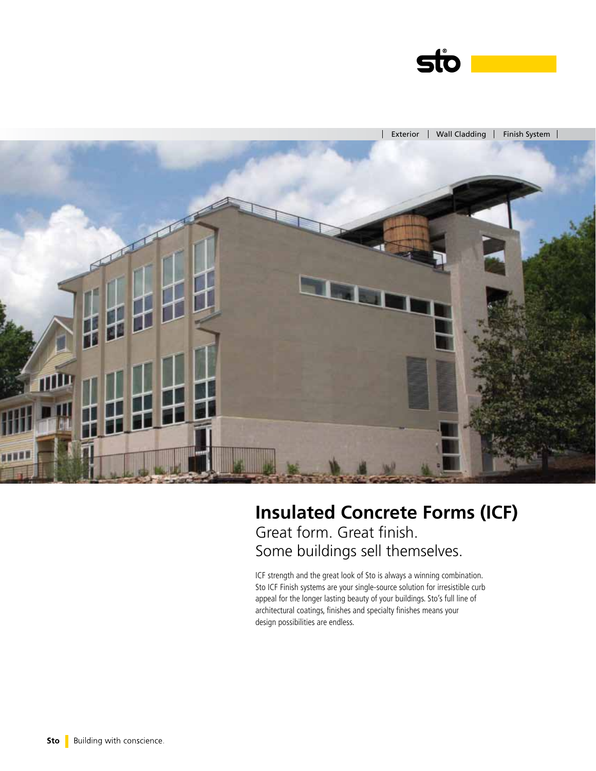



# **Insulated Concrete Forms (ICF)** Great form. Great finish. Some buildings sell themselves.

ICF strength and the great look of Sto is always a winning combination. Sto ICF Finish systems are your single-source solution for irresistible curb appeal for the longer lasting beauty of your buildings. Sto's full line of architectural coatings, finishes and specialty finishes means your design possibilities are endless.